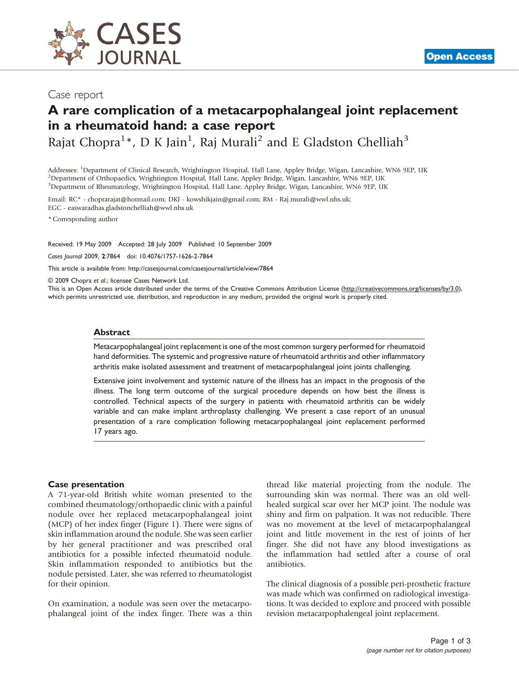

## Case report

## A rare complication of a metacarpophalangeal joint replacement in a rheumatoid hand: a case report

Rajat Chopra<sup>1</sup>\*, D K Jain<sup>1</sup>, Raj Murali<sup>2</sup> and E Gladston Chelliah<sup>3</sup>

Addresses: <sup>1</sup>Department of Clinical Research, Wrightington Hospital, Hall Lane, Appley Bridge, Wigan, Lancashire, WN6 9EP, UK<br><sup>2</sup>Department of Orthopaedics, Wrightington Hospital, Hall Lane, Appley Bridge, Wigan, Lancashi <sup>2</sup>Department of Orthopaedics, Wrightington Hospital, Hall Lane, Appley Bridge, Wigan, Lancashire, WN6 9EP, UK 3 Department of Rheumatology, Wrightington Hospital, Hall Lane, Appley Bridge, Wigan, Lancashire, WN6 9EP, UK

Email: RC\* - [choprarajat@hotmail.com](mailto:choprarajat@hotmail.com); DKJ - [kowshikjain@gmail.com;](mailto:kowshikjain@gmail.com) RM - [Raj.murali@wwl.nhs.uk](mailto:Raj.murali@wwl.nhs.uk); EGC - [easwaradhas.gladstonchelliah@wwl.nhs.uk](mailto:easwaradhas.gladstonchelliah@wwl.nhs.uk)

\* Corresponding author

Received: 19 May 2009 Accepted: 28 July 2009 Published: 10 September 2009

Cases Journal 2009, 2:7864 doi: 10.4076/1757-1626-2-7864

This article is available from:<http://casesjournal.com/casesjournal/article/view/7864>

© 2009 Chopra et al.; licensee Cases Network Ltd.

This is an Open Access article distributed under the terms of the Creative Commons Attribution License [\(http://creativecommons.org/licenses/by/3.0\)](http://creativecommons.org/licenses/by/3.0), which permits unrestricted use, distribution, and reproduction in any medium, provided the original work is properly cited.

#### Abstract

Metacarpophalangeal joint replacement is one of the most common surgery performed for rheumatoid hand deformities. The systemic and progressive nature of rheumatoid arthritis and other inflammatory arthritis make isolated assessment and treatment of metacarpophalangeal joint joints challenging.

Extensive joint involvement and systemic nature of the illness has an impact in the prognosis of the illness. The long term outcome of the surgical procedure depends on how best the illness is controlled. Technical aspects of the surgery in patients with rheumatoid arthritis can be widely variable and can make implant arthroplasty challenging. We present a case report of an unusual presentation of a rare complication following metacarpophalangeal joint replacement performed 17 years ago.

#### Case presentation

A 71-year-old British white woman presented to the combined rheumatology/orthopaedic clinic with a painful nodule over her replaced metacarpophalangeal joint (MCP) of her index finger [\(Figure 1](#page-1-0)). There were signs of skin inflammation around the nodule. She was seen earlier by her general practitioner and was prescribed oral antibiotics for a possible infected rheumatoid nodule. Skin inflammation responded to antibiotics but the nodule persisted. Later, she was referred to rheumatologist for their opinion.

On examination, a nodule was seen over the metacarpophalangeal joint of the index finger. There was a thin thread like material projecting from the nodule. The surrounding skin was normal. There was an old wellhealed surgical scar over her MCP joint. The nodule was shiny and firm on palpation. It was not reducible. There was no movement at the level of metacarpophalangeal joint and little movement in the rest of joints of her finger. She did not have any blood investigations as the inflammation had settled after a course of oral antibiotics.

The clinical diagnosis of a possible peri-prosthetic fracture was made which was confirmed on radiological investigations. It was decided to explore and proceed with possible revision metacarpophalengeal joint replacement.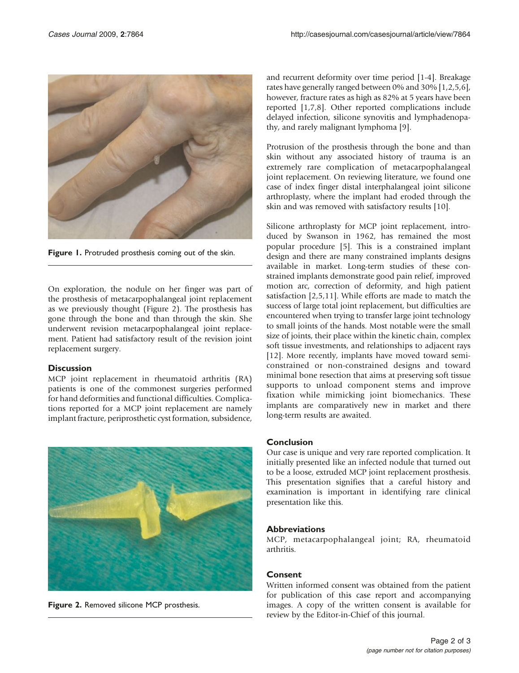<span id="page-1-0"></span>

Figure 1. Protruded prosthesis coming out of the skin.

On exploration, the nodule on her finger was part of the prosthesis of metacarpophalangeal joint replacement as we previously thought (Figure 2). The prosthesis has gone through the bone and than through the skin. She underwent revision metacarpophalangeal joint replacement. Patient had satisfactory result of the revision joint replacement surgery.

## **Discussion**

MCP joint replacement in rheumatoid arthritis (RA) patients is one of the commonest surgeries performed for hand deformities and functional difficulties. Complications reported for a MCP joint replacement are namely implant fracture, periprosthetic cyst formation, subsidence,



Figure 2. Removed silicone MCP prosthesis.

and recurrent deformity over time period [[1-4\]](#page-2-0). Breakage rates have generally ranged between 0% and 30% [\[1](#page-2-0),[2](#page-2-0),[5,6\]](#page-2-0), however, fracture rates as high as 82% at 5 years have been reported [\[1,7,8](#page-2-0)]. Other reported complications include delayed infection, silicone synovitis and lymphadenopathy, and rarely malignant lymphoma [[9](#page-2-0)].

Protrusion of the prosthesis through the bone and than skin without any associated history of trauma is an extremely rare complication of metacarpophalangeal joint replacement. On reviewing literature, we found one case of index finger distal interphalangeal joint silicone arthroplasty, where the implant had eroded through the skin and was removed with satisfactory results [\[10](#page-2-0)].

Silicone arthroplasty for MCP joint replacement, introduced by Swanson in 1962, has remained the most popular procedure [[5](#page-2-0)]. This is a constrained implant design and there are many constrained implants designs available in market. Long-term studies of these constrained implants demonstrate good pain relief, improved motion arc, correction of deformity, and high patient satisfaction [[2](#page-2-0),[5,11](#page-2-0)]. While efforts are made to match the success of large total joint replacement, but difficulties are encountered when trying to transfer large joint technology to small joints of the hands. Most notable were the small size of joints, their place within the kinetic chain, complex soft tissue investments, and relationships to adjacent rays [[12\]](#page-2-0). More recently, implants have moved toward semiconstrained or non-constrained designs and toward minimal bone resection that aims at preserving soft tissue supports to unload component stems and improve fixation while mimicking joint biomechanics. These implants are comparatively new in market and there long-term results are awaited.

## Conclusion

Our case is unique and very rare reported complication. It initially presented like an infected nodule that turned out to be a loose, extruded MCP joint replacement prosthesis. This presentation signifies that a careful history and examination is important in identifying rare clinical presentation like this.

## **Abbreviations**

MCP, metacarpophalangeal joint; RA, rheumatoid arthritis.

## **Consent**

Written informed consent was obtained from the patient for publication of this case report and accompanying images. A copy of the written consent is available for review by the Editor-in-Chief of this journal.